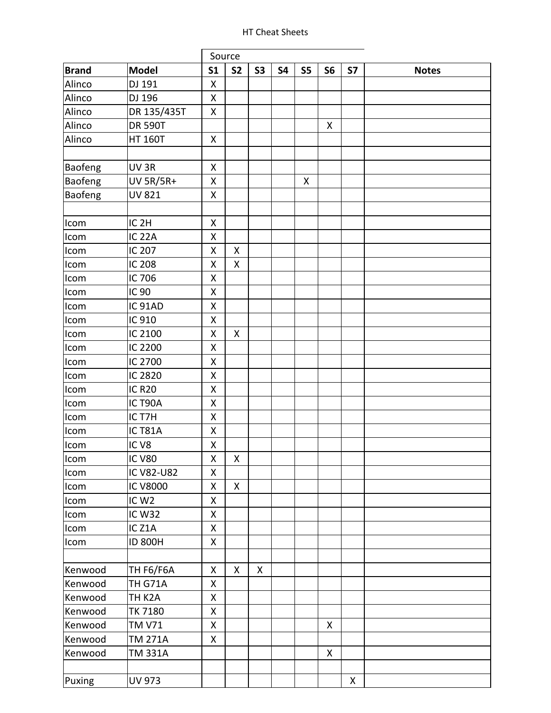## HT Cheat Sheets

|              |                    |                    | Source             |                    |           |                    |                |           |              |
|--------------|--------------------|--------------------|--------------------|--------------------|-----------|--------------------|----------------|-----------|--------------|
| <b>Brand</b> | <b>Model</b>       | S <sub>1</sub>     | <b>S2</b>          | <b>S3</b>          | <b>S4</b> | <b>S5</b>          | S <sub>6</sub> | <b>S7</b> | <b>Notes</b> |
| Alinco       | DJ 191             | X                  |                    |                    |           |                    |                |           |              |
| Alinco       | DJ 196             | Χ                  |                    |                    |           |                    |                |           |              |
| Alinco       | DR 135/435T        | Χ                  |                    |                    |           |                    |                |           |              |
| Alinco       | <b>DR 590T</b>     |                    |                    |                    |           |                    | X              |           |              |
| Alinco       | <b>HT 160T</b>     | Χ                  |                    |                    |           |                    |                |           |              |
|              |                    |                    |                    |                    |           |                    |                |           |              |
| Baofeng      | UV <sub>3R</sub>   | X                  |                    |                    |           |                    |                |           |              |
| Baofeng      | <b>UV 5R/5R+</b>   | X                  |                    |                    |           | $\pmb{\mathsf{X}}$ |                |           |              |
| Baofeng      | <b>UV 821</b>      | Χ                  |                    |                    |           |                    |                |           |              |
|              |                    |                    |                    |                    |           |                    |                |           |              |
| Icom         | IC <sub>2H</sub>   | $\mathsf{X}% _{0}$ |                    |                    |           |                    |                |           |              |
| Icom         | <b>IC 22A</b>      | Χ                  |                    |                    |           |                    |                |           |              |
| Icom         | IC 207             | Χ                  | $\pmb{\mathsf{X}}$ |                    |           |                    |                |           |              |
| Icom         | <b>IC 208</b>      | Χ                  | Χ                  |                    |           |                    |                |           |              |
| Icom         | IC 706             | X                  |                    |                    |           |                    |                |           |              |
| Icom         | IC 90              | Χ                  |                    |                    |           |                    |                |           |              |
| Icom         | IC 91AD            | Χ                  |                    |                    |           |                    |                |           |              |
| Icom         | IC 910             | X                  |                    |                    |           |                    |                |           |              |
| Icom         | IC 2100            | X                  | $\pmb{\mathsf{X}}$ |                    |           |                    |                |           |              |
| Icom         | IC 2200            | X                  |                    |                    |           |                    |                |           |              |
| Icom         | IC 2700            | Χ                  |                    |                    |           |                    |                |           |              |
| Icom         | IC 2820            | X                  |                    |                    |           |                    |                |           |              |
| Icom         | <b>IC R20</b>      | Χ                  |                    |                    |           |                    |                |           |              |
| Icom         | IC T90A            | X                  |                    |                    |           |                    |                |           |              |
| Icom         | IC T7H             | X                  |                    |                    |           |                    |                |           |              |
| Icom         | IC T81A            | Χ                  |                    |                    |           |                    |                |           |              |
| Icom         | IC <sub>V8</sub>   | X                  |                    |                    |           |                    |                |           |              |
| Icom         | <b>IC V80</b>      | Χ                  | X                  |                    |           |                    |                |           |              |
| Icom         | IC V82-U82         | Χ                  |                    |                    |           |                    |                |           |              |
| Icom         | <b>IC V8000</b>    | X                  | $\mathsf{X}$       |                    |           |                    |                |           |              |
| Icom         | IC W <sub>2</sub>  | Χ                  |                    |                    |           |                    |                |           |              |
| Icom         | <b>IC W32</b>      | Χ                  |                    |                    |           |                    |                |           |              |
| Icom         | IC <sub>Z1</sub> A | Χ                  |                    |                    |           |                    |                |           |              |
| Icom         | <b>ID 800H</b>     | Χ                  |                    |                    |           |                    |                |           |              |
|              |                    |                    |                    |                    |           |                    |                |           |              |
| Kenwood      | <b>TH F6/F6A</b>   | Χ                  | X                  | $\pmb{\mathsf{X}}$ |           |                    |                |           |              |
| Kenwood      | <b>TH G71A</b>     | X                  |                    |                    |           |                    |                |           |              |
| Kenwood      | TH K2A             | X                  |                    |                    |           |                    |                |           |              |
| Kenwood      | <b>TK 7180</b>     | Χ                  |                    |                    |           |                    |                |           |              |
| Kenwood      | <b>TM V71</b>      | Χ                  |                    |                    |           |                    | X              |           |              |
| Kenwood      | <b>TM 271A</b>     | Χ                  |                    |                    |           |                    |                |           |              |
| Kenwood      | TM 331A            |                    |                    |                    |           |                    | X              |           |              |
|              |                    |                    |                    |                    |           |                    |                |           |              |
| Puxing       | <b>UV 973</b>      |                    |                    |                    |           |                    |                | X         |              |